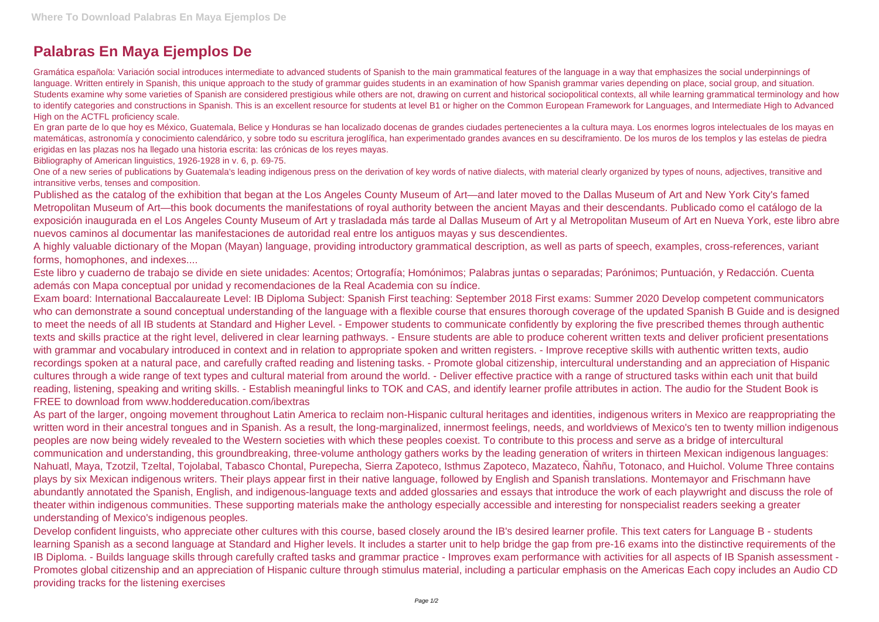## **Palabras En Maya Ejemplos De**

Gramática española: Variación social introduces intermediate to advanced students of Spanish to the main grammatical features of the language in a way that emphasizes the social underpinnings of language. Written entirely in Spanish, this unique approach to the study of grammar guides students in an examination of how Spanish grammar varies depending on place, social group, and situation. Students examine why some varieties of Spanish are considered prestigious while others are not, drawing on current and historical sociopolitical contexts, all while learning grammatical terminology and how to identify categories and constructions in Spanish. This is an excellent resource for students at level B1 or higher on the Common European Framework for Languages, and Intermediate High to Advanced High on the ACTFL proficiency scale.

One of a new series of publications by Guatemala's leading indigenous press on the derivation of key words of native dialects, with material clearly organized by types of nouns, adjectives, transitive and intransitive verbs, tenses and composition.

En gran parte de lo que hoy es México, Guatemala, Belice y Honduras se han localizado docenas de grandes ciudades pertenecientes a la cultura maya. Los enormes logros intelectuales de los mayas en matemáticas, astronomía y conocimiento calendárico, y sobre todo su escritura jeroglífica, han experimentado grandes avances en su desciframiento. De los muros de los templos y las estelas de piedra erigidas en las plazas nos ha llegado una historia escrita: las crónicas de los reyes mayas.

Bibliography of American linguistics, 1926-1928 in v. 6, p. 69-75.

Published as the catalog of the exhibition that began at the Los Angeles County Museum of Art—and later moved to the Dallas Museum of Art and New York City's famed Metropolitan Museum of Art—this book documents the manifestations of royal authority between the ancient Mayas and their descendants. Publicado como el catálogo de la exposición inaugurada en el Los Angeles County Museum of Art y trasladada más tarde al Dallas Museum of Art y al Metropolitan Museum of Art en Nueva York, este libro abre nuevos caminos al documentar las manifestaciones de autoridad real entre los antiguos mayas y sus descendientes.

A highly valuable dictionary of the Mopan (Mayan) language, providing introductory grammatical description, as well as parts of speech, examples, cross-references, variant forms, homophones, and indexes....

Este libro y cuaderno de trabajo se divide en siete unidades: Acentos; Ortografía; Homónimos; Palabras juntas o separadas; Parónimos; Puntuación, y Redacción. Cuenta además con Mapa conceptual por unidad y recomendaciones de la Real Academia con su índice.

Exam board: International Baccalaureate Level: IB Diploma Subject: Spanish First teaching: September 2018 First exams: Summer 2020 Develop competent communicators who can demonstrate a sound conceptual understanding of the language with a flexible course that ensures thorough coverage of the updated Spanish B Guide and is designed to meet the needs of all IB students at Standard and Higher Level. - Empower students to communicate confidently by exploring the five prescribed themes through authentic texts and skills practice at the right level, delivered in clear learning pathways. - Ensure students are able to produce coherent written texts and deliver proficient presentations with grammar and vocabulary introduced in context and in relation to appropriate spoken and written registers. - Improve receptive skills with authentic written texts, audio recordings spoken at a natural pace, and carefully crafted reading and listening tasks. - Promote global citizenship, intercultural understanding and an appreciation of Hispanic cultures through a wide range of text types and cultural material from around the world. - Deliver effective practice with a range of structured tasks within each unit that build reading, listening, speaking and writing skills. - Establish meaningful links to TOK and CAS, and identify learner profile attributes in action. The audio for the Student Book is FREE to download from www.hoddereducation.com/ibextras

As part of the larger, ongoing movement throughout Latin America to reclaim non-Hispanic cultural heritages and identities, indigenous writers in Mexico are reappropriating the written word in their ancestral tongues and in Spanish. As a result, the long-marginalized, innermost feelings, needs, and worldviews of Mexico's ten to twenty million indigenous peoples are now being widely revealed to the Western societies with which these peoples coexist. To contribute to this process and serve as a bridge of intercultural communication and understanding, this groundbreaking, three-volume anthology gathers works by the leading generation of writers in thirteen Mexican indigenous languages: Nahuatl, Maya, Tzotzil, Tzeltal, Tojolabal, Tabasco Chontal, Purepecha, Sierra Zapoteco, Isthmus Zapoteco, Mazateco, Ñahñu, Totonaco, and Huichol. Volume Three contains plays by six Mexican indigenous writers. Their plays appear first in their native language, followed by English and Spanish translations. Montemayor and Frischmann have abundantly annotated the Spanish, English, and indigenous-language texts and added glossaries and essays that introduce the work of each playwright and discuss the role of theater within indigenous communities. These supporting materials make the anthology especially accessible and interesting for nonspecialist readers seeking a greater understanding of Mexico's indigenous peoples.

Develop confident linguists, who appreciate other cultures with this course, based closely around the IB's desired learner profile. This text caters for Language B - students learning Spanish as a second language at Standard and Higher levels. It includes a starter unit to help bridge the gap from pre-16 exams into the distinctive requirements of the IB Diploma. - Builds language skills through carefully crafted tasks and grammar practice - Improves exam performance with activities for all aspects of IB Spanish assessment - Promotes global citizenship and an appreciation of Hispanic culture through stimulus material, including a particular emphasis on the Americas Each copy includes an Audio CD providing tracks for the listening exercises